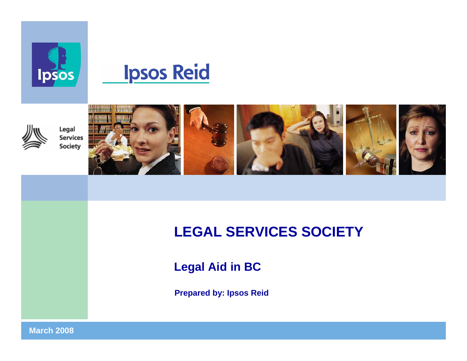





Legal **Services** Society



# **LEGAL SERVICES SOCIETY**

**Legal Aid in BC**

**Prepared by: Ipsos Reid**

**March 20081**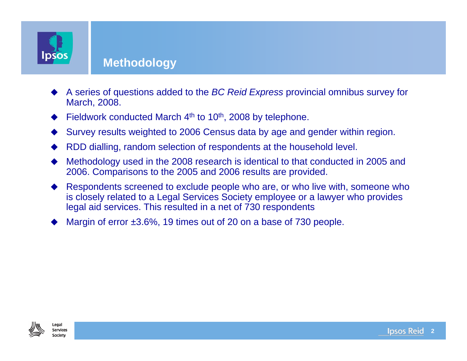

#### **Methodology**

- ♦ A series of questions added to the *BC Reid Express* provincial omnibus survey for March, 2008.
- ♦ Fieldwork conducted March 4<sup>th</sup> to 10<sup>th</sup>, 2008 by telephone.
- ♦ Survey results weighted to 2006 Census data by age and gender within region.
- ♦ RDD dialling, random selection of respondents at the household level.
- ♦ Methodology used in the 2008 research is identical to that conducted in 2005 and 2006. Comparisons to the 2005 and 2006 results are provided.
- ♦ Respondents screened to exclude people who are, or who live with, someone who is closely related to a Legal Services Society employee or a lawyer who provides legal aid services. This resulted in a net of 730 respondents
- ♦ Margin of error  $\pm 3.6\%$ , 19 times out of 20 on a base of 730 people.

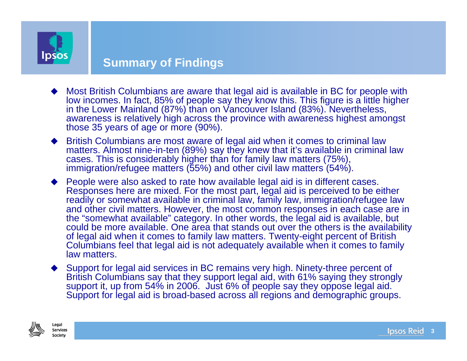

#### **Summary of Findings**

- ♦ Most British Columbians are aware that legal aid is available in BC for people with low incomes. In fact, 85% of people say they know this. This figure is a little higher in the Lower Mainland (87%) than on Vancouver Island (83%). Nevertheless, awareness is relatively high across the province with awareness highest amongst those 35 years of age or more (90%).
- ♦ British Columbians are most aware of legal aid when it comes to criminal law matters. Almost nine-in-ten (89%) say they knew that it's available in criminal law cases. This is considerably higher than for family law matters (75%), immigration/refugee matters (55%) and other civil law matters (54%).
- ◆ People were also asked to rate how available legal aid is in different cases. Responses here are mixed. For the most part, legal aid is perceived to be either readily or somewhat available in criminal law, family law, immigration/refugee law and other civil matters. However, the most common responses in each case are in the "somewhat available" category. In other words, the legal aid is available, but could be more available. One area that stands out over the others is the availability of legal aid when it comes to family law matters. Twenty-eight percent of British Columbians feel that legal aid is not adequately available when it comes to family law matters.
- ♦ Support for legal aid services in BC remains very high. Ninety-three percent of British Columbians say that they support legal aid, with 61% saying they strongly support it, up from 54% in 2006. Just 6% of people say they oppose legal aid. Support for legal aid is broad-based across all regions and demographic groups.

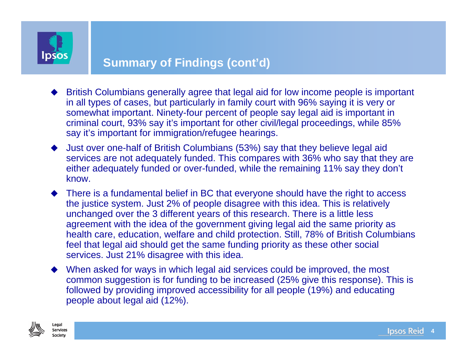

#### **Summary of Findings (cont'd)**

- ♦ British Columbians generally agree that legal aid for low income people is important in all types of cases, but particularly in family court with 96% saying it is very or somewhat important. Ninety-four percent of people say legal aid is important in criminal court, 93% say it's important for other civil/legal proceedings, while 85% say it's important for immigration/refugee hearings.
- ♦ Just over one-half of British Columbians (53%) say that they believe legal aid services are not adequately funded. This compares with 36% who say that they are either adequately funded or over-funded, while the remaining 11% say they don't know.
- There is a fundamental belief in BC that everyone should have the right to access the justice system. Just 2% of people disagree with this idea. This is relatively unchanged over the 3 different years of this research. There is a little less agreement with the idea of the government giving legal aid the same priority as health care, education, welfare and child protection. Still, 78% of British Columbians feel that legal aid should get the same funding priority as these other social services. Just 21% disagree with this idea.
- When asked for ways in which legal aid services could be improved, the most common suggestion is for funding to be increased (25% give this response). This is followed by providing improved accessibility for all people (19%) and educating people about legal aid (12%).

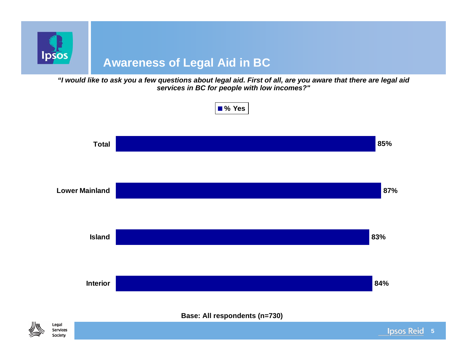

*"I would like to ask you a few questions about legal aid. First of all, are you aware that there are legal aid services in BC for people with low incomes?"*



**5**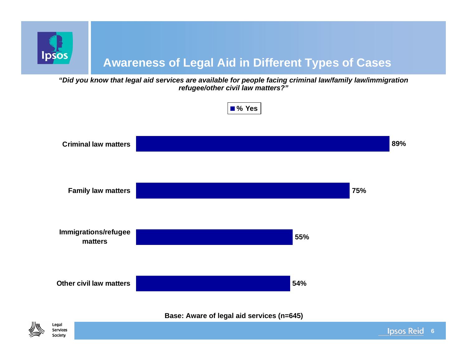

### **Awareness of Legal Aid in Different Types of Cases**

*"Did you know that legal aid services are available for people facing criminal law/family law/immigration refugee/other civil law matters?"*

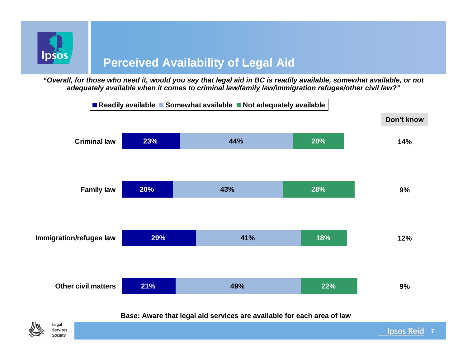

*"Overall, for those who need it, would you say that legal aid in BC is readily available, somewhat available, or not adequately available when it comes to criminal law/family law/immigration refugee/other civil law?"*



**Base: Aware that legal aid services are available for each area of law**



**Ipsos Reid 7**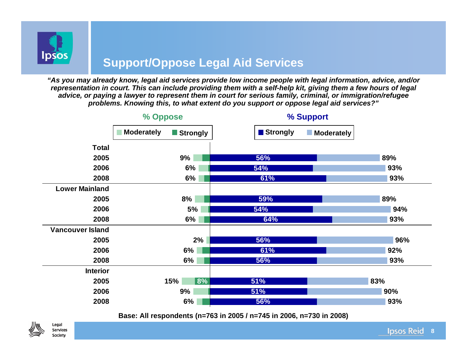

#### **Support/Oppose Legal Aid Services**

*"As you may already know, legal aid services provide low income people with legal information, advice, and/or representation in court. This can include providing them with a self-help kit, giving them a few hours of legal advice, or paying a lawyer to represent them in court for serious family, criminal, or immigration/refugee problems. Knowing this, to what extent do you support or oppose legal aid services?"*



**Base: All respondents (n=763 in 2005 / n=745 in 2006, n=730 in 2008)**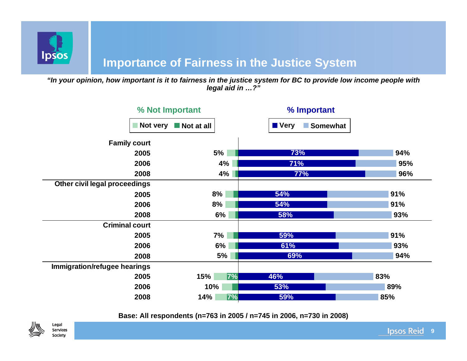

#### **Importance of Fairness in the Justice System**

*"In your opinion, how important is it to fairness in the justice system for BC to provide low income people with legal aid in …?"*

| % Not Important               |                           | % Important               |     |
|-------------------------------|---------------------------|---------------------------|-----|
| Not very                      | $\blacksquare$ Not at all | <b>N</b> Very<br>Somewhat |     |
| <b>Family court</b>           |                           |                           |     |
| 2005                          | 5%                        | 73%                       | 94% |
| 2006                          | 4%                        | 71%                       | 95% |
| 2008                          | 4%                        | 77%                       | 96% |
| Other civil legal proceedings |                           |                           |     |
| 2005                          | 8%                        | 54%                       | 91% |
| 2006                          | 8%                        | 54%                       | 91% |
| 2008                          | 6%                        | 58%                       | 93% |
| <b>Criminal court</b>         |                           |                           |     |
| 2005                          | 7%                        | 59%                       | 91% |
| 2006                          | 6%                        | 61%                       | 93% |
| 2008                          | 5%                        | 69%                       | 94% |
| Immigration/refugee hearings  |                           |                           |     |
| 2005                          | 7%<br>15%                 | 46%                       | 83% |
| 2006                          | 10%                       | 53%                       | 89% |
| 2008                          | 14%<br>7%                 | 59%                       | 85% |

**Base: All respondents (n=763 in 2005 / n=745 in 2006, n=730 in 2008)**

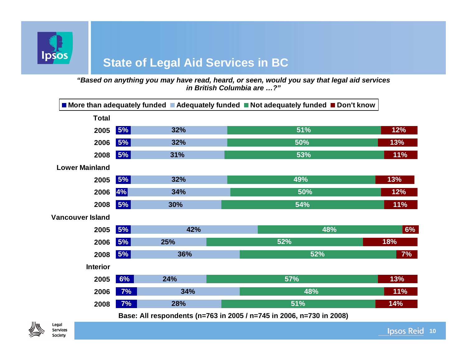

## **State of Legal Aid Services in BC**

*"Based on anything you may have read, heard, or seen, would you say that legal aid services in British Columbia are …?"*

| 5%<br>32%  | 51% | 12%                                                                                    |
|------------|-----|----------------------------------------------------------------------------------------|
| 5%<br>32%  | 50% | 13%                                                                                    |
| 5% <br>31% | 53% | 11%                                                                                    |
|            |     |                                                                                        |
| 5% <br>32% | 49% | 13%                                                                                    |
| 4%<br>34%  | 50% | 12%                                                                                    |
| 5%<br>30%  | 54% | 11%                                                                                    |
|            |     |                                                                                        |
| 5%<br>42%  | 48% | 6%                                                                                     |
| 5%<br>25%  | 52% | 18%                                                                                    |
| 5%<br>36%  | 52% | 7%                                                                                     |
|            |     |                                                                                        |
| 6%<br>24%  | 57% | 13%                                                                                    |
| 34%<br>7%  | 48% | 11%                                                                                    |
| 7%<br>28%  | 51% | 14%                                                                                    |
|            |     | ■ More than adequately funded ■ Adequately funded ■ Not adequately funded ■ Don't know |

**Base: All respondents (n=763 in 2005 / n=745 in 2006, n=730 in 2008)**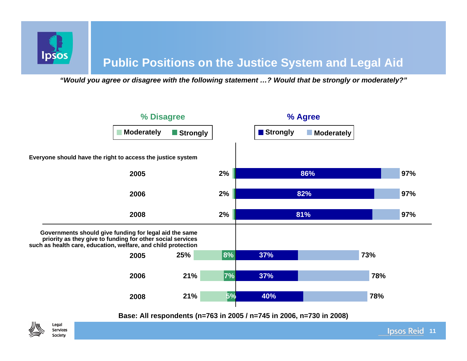

*"Would you agree or disagree with the following statement …? Would that be strongly or moderately?"*



#### **Base: All respondents (n=763 in 2005 / n=745 in 2006, n=730 in 2008)**



**pso**